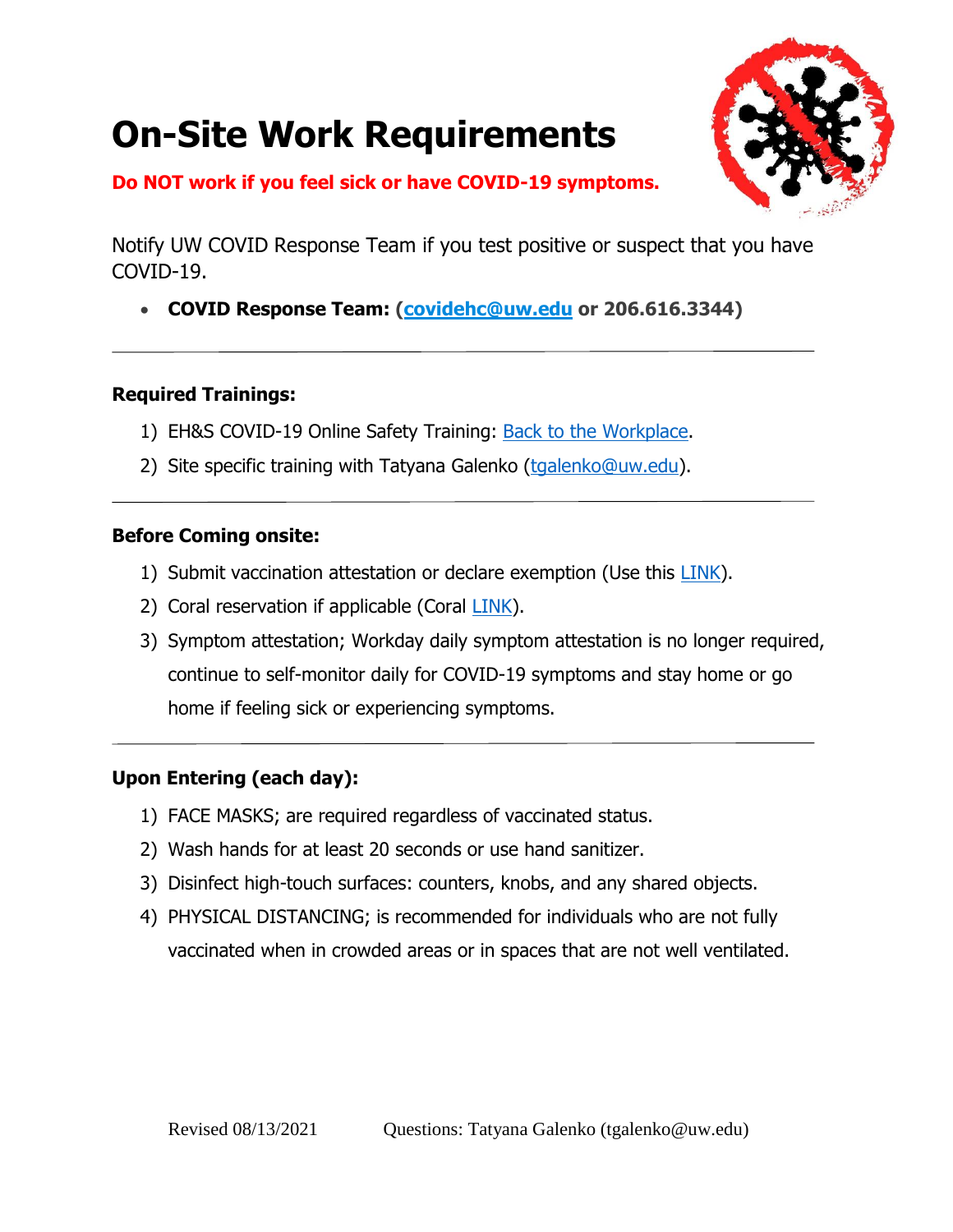# **On-Site Work Requirements**



### **Do NOT work if you feel sick or have COVID-19 symptoms.**

Notify UW COVID Response Team if you test positive or suspect that you have COVID-19.

**COVID Response Team: [\(covidehc@uw.edu](mailto:covidehc@uw.edu) or 206.616.3344)**

### **Required Trainings:**

- 1) EH&S COVID-19 Online Safety Training: [Back to the Workplace.](https://www.ehs.washington.edu/training/covid-19-safety-training-back-workplace)
- 2) Site specific training with Tatyana Galenko [\(tgalenko@uw.edu\)](mailto:tgalenko@uw.edu).

### **Before Coming onsite:**

- 1) Submit vaccination attestation or declare exemption (Use this [LINK\)](https://www.ehs.washington.edu/covid-19-prevention-and-response/uw-covid-19-vaccination-policy).
- 2) Coral reservation if applicable (Coral [LINK\)](https://mse.washington.edu/students/labs/labs-equipment).
- 3) Symptom attestation; Workday daily symptom attestation is no longer required, continue to self-monitor daily for COVID-19 symptoms and stay home or go home if feeling sick or experiencing symptoms.

### **Upon Entering (each day):**

- 1) FACE MASKS; are required regardless of vaccinated status.
- 2) Wash hands for at least 20 seconds or use hand sanitizer.
- 3) Disinfect high-touch surfaces: counters, knobs, and any shared objects.
- 4) PHYSICAL DISTANCING; is recommended for individuals who are not fully vaccinated when in crowded areas or in spaces that are not well ventilated.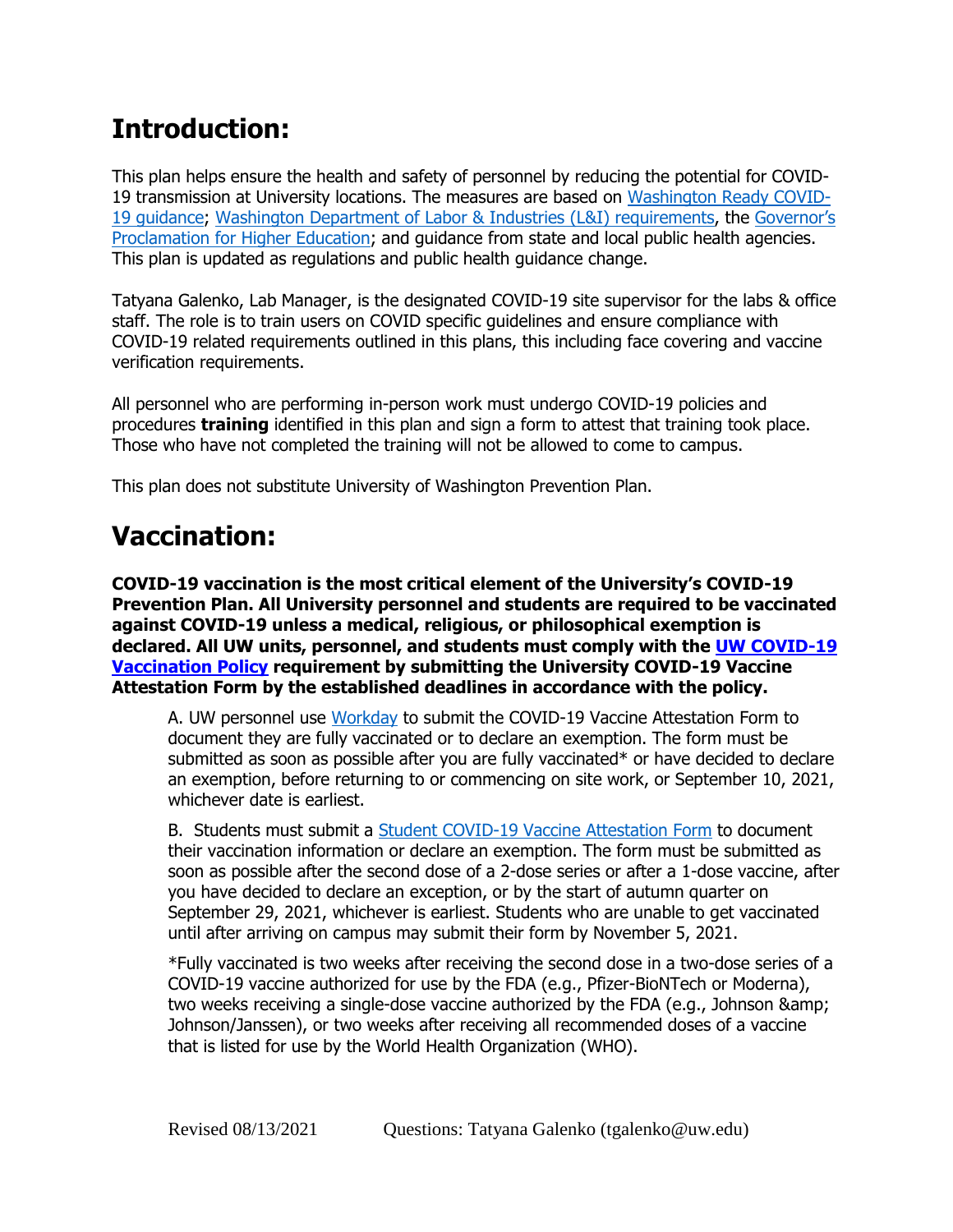# **Introduction:**

This plan helps ensure the health and safety of personnel by reducing the potential for COVID-19 transmission at University locations. The measures are based on [Washington Ready COVID-](https://www.governor.wa.gov/sites/default/files/WashingtonReady.pdf)[19 guidance;](https://www.governor.wa.gov/sites/default/files/WashingtonReady.pdf) [Washington Department of Labor & Industries \(L&I\) requirements,](https://www.lni.wa.gov/safety-health/safety-topics/topics/coronavirus) the [Governor's](https://www.governor.wa.gov/sites/default/files/proclamations/20-12.3%20-%20HigherEd.pdf?utm_medium=email&utm_source=govdelivery)  [Proclamation for Higher Education;](https://www.governor.wa.gov/sites/default/files/proclamations/20-12.3%20-%20HigherEd.pdf?utm_medium=email&utm_source=govdelivery) and guidance from state and local public health agencies. This plan is updated as regulations and public health guidance change.

Tatyana Galenko, Lab Manager, is the designated COVID-19 site supervisor for the labs & office staff. The role is to train users on COVID specific guidelines and ensure compliance with COVID-19 related requirements outlined in this plans, this including face covering and vaccine verification requirements.

All personnel who are performing in-person work must undergo COVID-19 policies and procedures **training** identified in this plan and sign a form to attest that training took place. Those who have not completed the training will not be allowed to come to campus.

This plan does not substitute University of Washington Prevention Plan.

# **Vaccination:**

**COVID-19 vaccination is the most critical element of the University's COVID-19 Prevention Plan. All University personnel and students are required to be vaccinated against COVID-19 unless a medical, religious, or philosophical exemption is declared. All UW units, personnel, and students must comply with the [UW COVID-19](https://www.ehs.washington.edu/covid-19-prevention-and-response/uw-covid-19-vaccination-policy)  [Vaccination Policy](https://www.ehs.washington.edu/covid-19-prevention-and-response/uw-covid-19-vaccination-policy) requirement by submitting the University COVID-19 Vaccine Attestation Form by the established deadlines in accordance with the policy.** 

A. UW personnel use [Workday](https://isc.uw.edu/) to submit the COVID-19 Vaccine Attestation Form to document they are fully vaccinated or to declare an exemption. The form must be submitted as soon as possible after you are fully vaccinated\* or have decided to declare an exemption, before returning to or commencing on site work, or September 10, 2021, whichever date is earliest.

B. Students must submit a [Student COVID-19 Vaccine Attestation Form](https://idp.u.washington.edu/idp/profile/SAML2/Redirect/SSO?execution=e2s1) to document their vaccination information or declare an exemption. The form must be submitted as soon as possible after the second dose of a 2-dose series or after a 1-dose vaccine, after you have decided to declare an exception, or by the start of autumn quarter on September 29, 2021, whichever is earliest. Students who are unable to get vaccinated until after arriving on campus may submit their form by November 5, 2021.

\*Fully vaccinated is two weeks after receiving the second dose in a two-dose series of a COVID-19 vaccine authorized for use by the FDA (e.g., Pfizer-BioNTech or Moderna), two weeks receiving a single-dose vaccine authorized by the FDA (e.g., Johnson & Johnson/Janssen), or two weeks after receiving all recommended doses of a vaccine that is listed for use by the World Health Organization (WHO).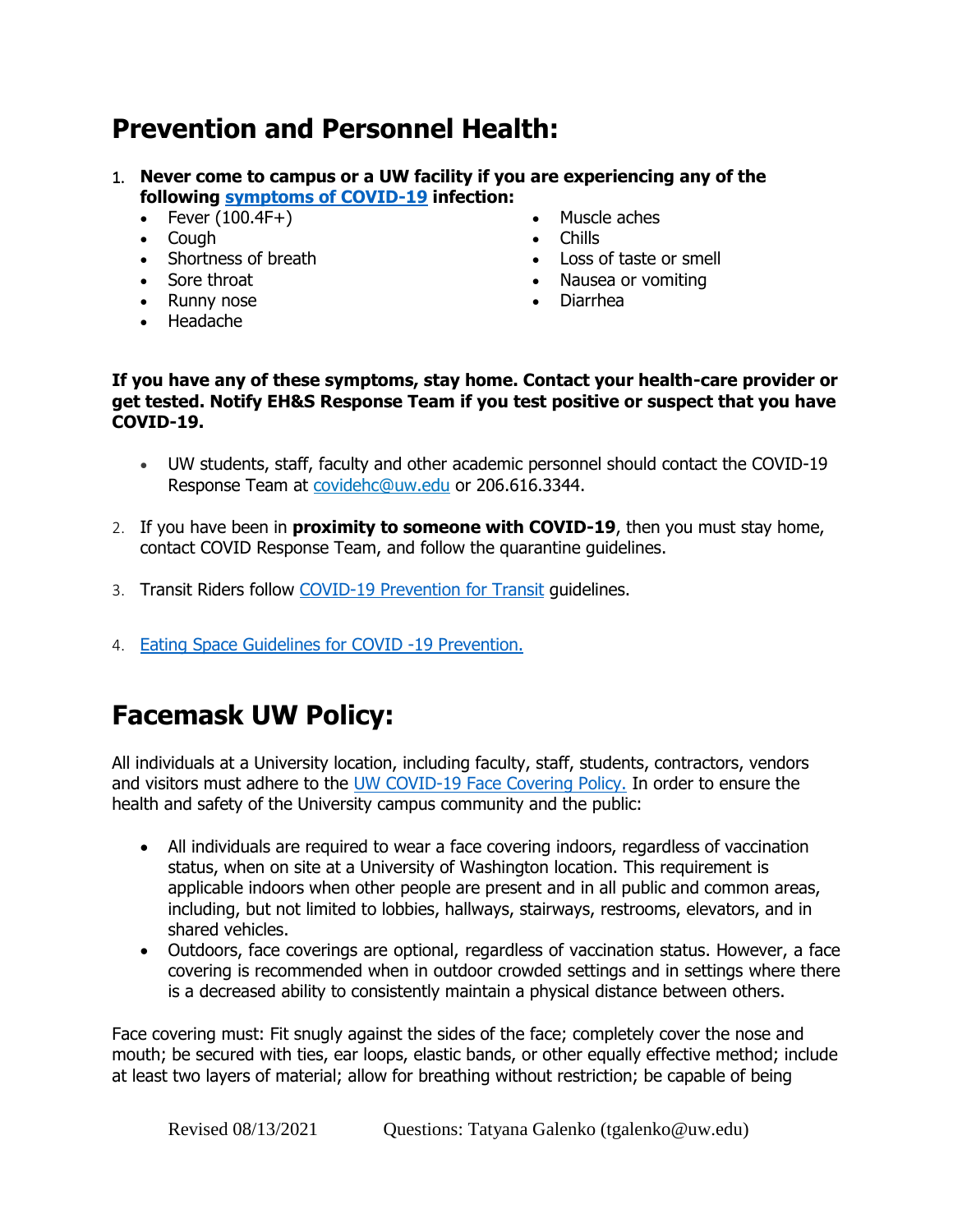### **Prevention and Personnel Health:**

- 1. **Never come to campus or a UW facility if you are experiencing any of the following [symptoms of COVID-19](https://www.cdc.gov/coronavirus/2019-ncov/symptoms-testing/symptoms.html) infection:** 
	- Fever  $(100.4F+)$
	- Cough
	- Shortness of breath
	- Sore throat
	- Runny nose
	- Headache
- Muscle aches
- Chills
- Loss of taste or smell
- Nausea or vomiting
- Diarrhea
- **If you have any of these symptoms, stay home. Contact your health-care provider or get tested. Notify EH&S Response Team if you test positive or suspect that you have COVID-19.** 
	- UW students, staff, faculty and other academic personnel should contact the COVID-19 Response Team at [covidehc@uw.edu](mailto:covidehc@uw.edu) or 206.616.3344.
- 2. If you have been in **proximity to someone with COVID-19**, then you must stay home, contact COVID Response Team, and follow the quarantine guidelines.
- 3. Transit Riders follow [COVID-19 Prevention for Transit](https://www.ehs.washington.edu/system/files/resources/COVID-19-prevention-transit-focus-sheet.pdf) guidelines.
- 4. [Eating Space Guidelines for COVID -19 Prevention.](https://www.ehs.washington.edu/system/files/resources/eating-space-guidance.pdf)

# **Facemask UW Policy:**

All individuals at a University location, including faculty, staff, students, contractors, vendors and visitors must adhere to the [UW COVID-19 Face Covering Policy.](https://www.ehs.washington.edu/covid-19-prevention-and-response/face-covering-requirements) In order to ensure the health and safety of the University campus community and the public:

- All individuals are required to wear a face covering indoors, regardless of vaccination status, when on site at a University of Washington location. This requirement is applicable indoors when other people are present and in all public and common areas, including, but not limited to lobbies, hallways, stairways, restrooms, elevators, and in shared vehicles.
- Outdoors, face coverings are optional, regardless of vaccination status. However, a face covering is recommended when in outdoor crowded settings and in settings where there is a decreased ability to consistently maintain a physical distance between others.

Face covering must: Fit snugly against the sides of the face; completely cover the nose and mouth; be secured with ties, ear loops, elastic bands, or other equally effective method; include at least two layers of material; allow for breathing without restriction; be capable of being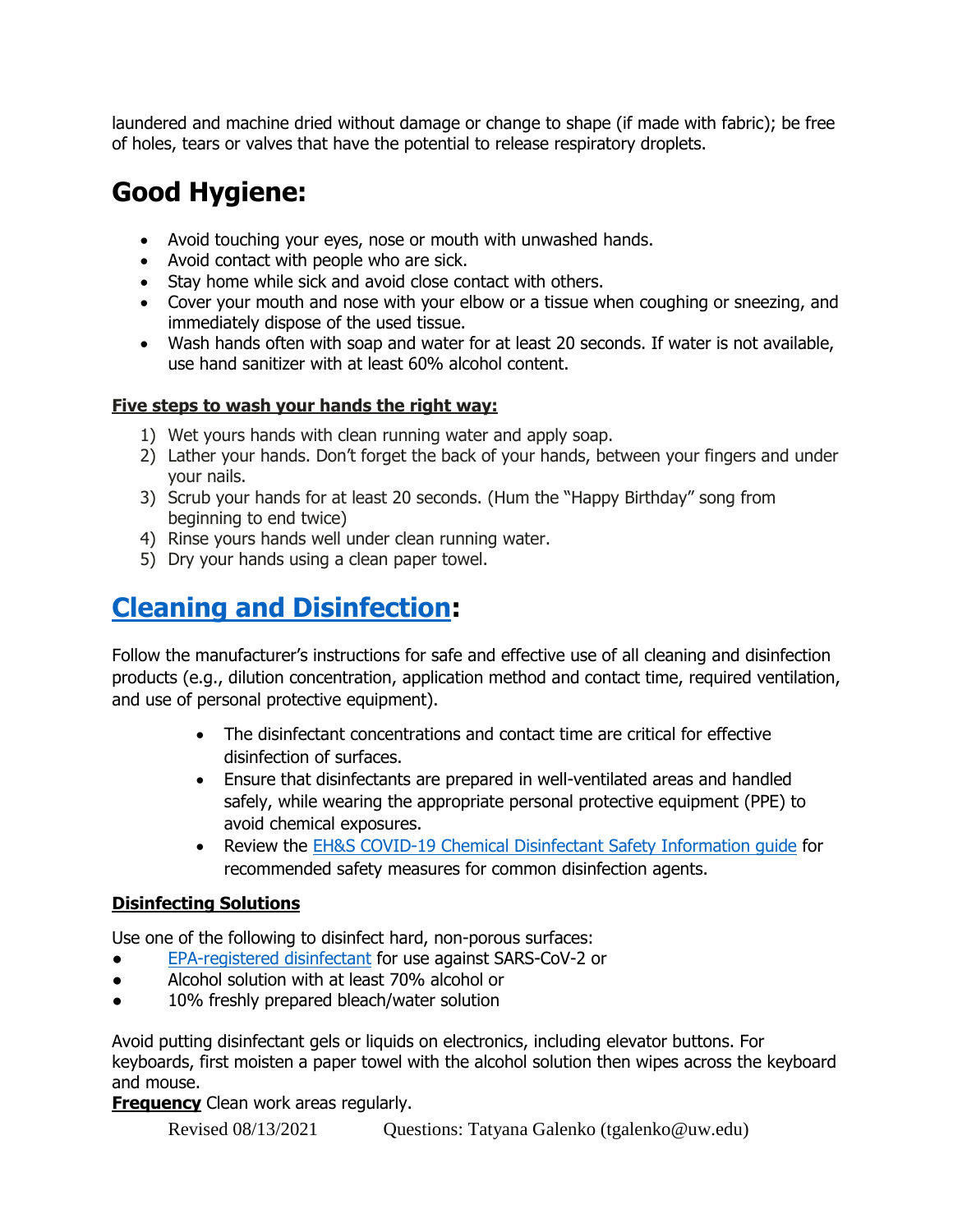laundered and machine dried without damage or change to shape (if made with fabric); be free of holes, tears or valves that have the potential to release respiratory droplets.

# **Good Hygiene:**

- Avoid touching your eyes, nose or mouth with unwashed hands.
- Avoid contact with people who are sick.
- Stay home while sick and avoid close contact with others.
- Cover your mouth and nose with your elbow or a tissue when coughing or sneezing, and immediately dispose of the used tissue.
- Wash hands often with soap and water for at least 20 seconds. If water is not available, use hand sanitizer with at least 60% alcohol content.

### **Five steps to wash your hands the right way:**

- 1) Wet yours hands with clean running water and apply soap.
- 2) Lather your hands. Don't forget the back of your hands, between your fingers and under your nails.
- 3) Scrub your hands for at least 20 seconds. (Hum the "Happy Birthday" song from beginning to end twice)
- 4) Rinse yours hands well under clean running water.
- 5) Dry your hands using a clean paper towel.

# **[Cleaning and Disinfection:](https://www.ehs.washington.edu/system/files/resources/cleaning-disinfection-protocols-covid-19.pdf)**

Follow the manufacturer's instructions for safe and effective use of all cleaning and disinfection products (e.g., dilution concentration, application method and contact time, required ventilation, and use of personal protective equipment).

- The disinfectant concentrations and contact time are critical for effective disinfection of surfaces.
- Ensure that disinfectants are prepared in well-ventilated areas and handled safely, while wearing the appropriate personal protective equipment (PPE) to avoid chemical exposures.
- Review the **EH&S COVID-19 Chemical Disinfectant Safety Information guide for** recommended safety measures for common disinfection agents.

### **Disinfecting Solutions**

Use one of the following to disinfect hard, non-porous surfaces:

- [EPA-registered disinfectant](https://www.epa.gov/coronavirus/about-list-n-disinfectants-coronavirus-covid-19-0) for use against SARS-CoV-2 or
- Alcohol solution with at least 70% alcohol or
- 10% freshly prepared bleach/water solution

Avoid putting disinfectant gels or liquids on electronics, including elevator buttons. For keyboards, first moisten a paper towel with the alcohol solution then wipes across the keyboard and mouse.

**Frequency** Clean work areas regularly.

Revised 08/13/2021 Questions: Tatyana Galenko (tgalenko@uw.edu)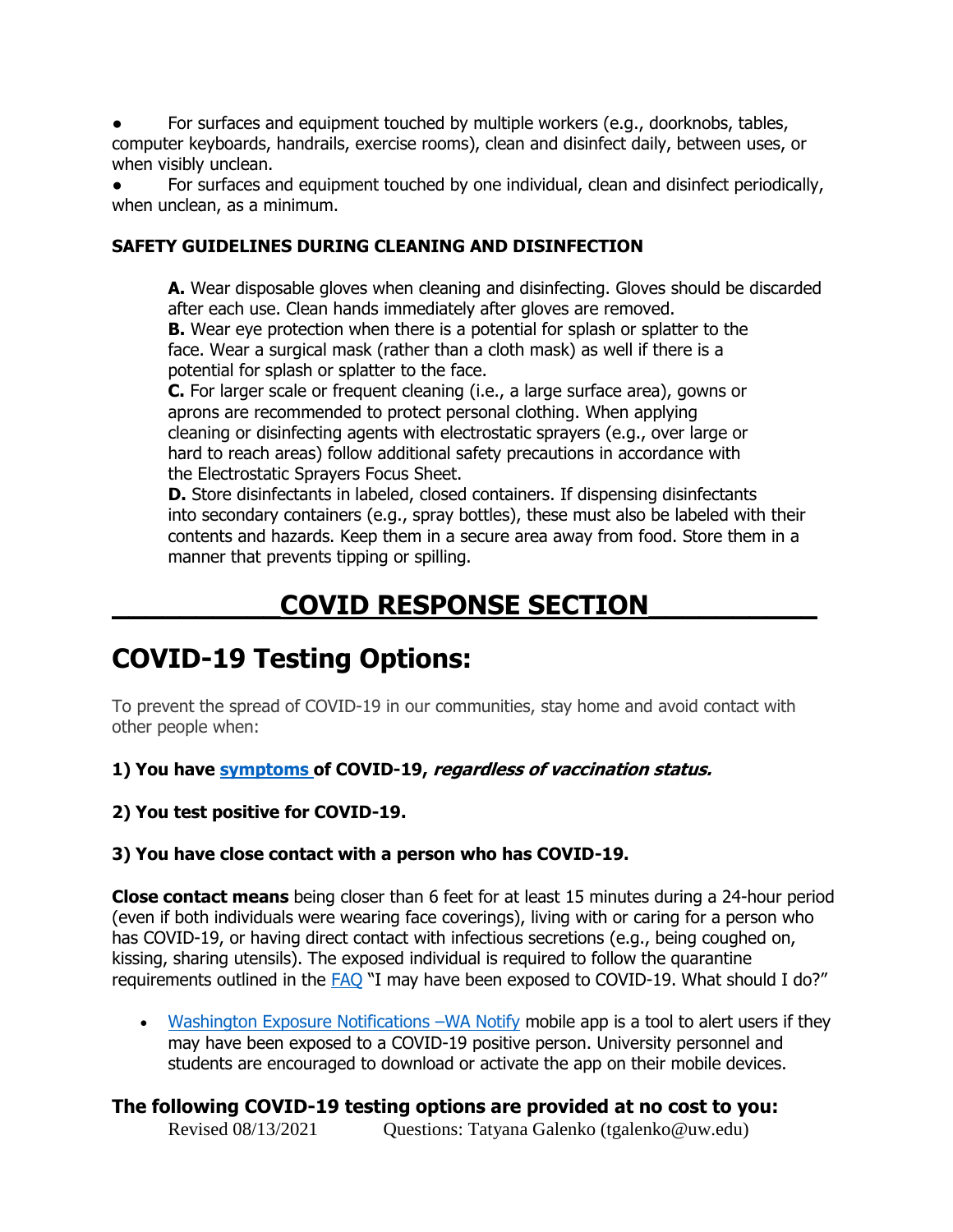For surfaces and equipment touched by multiple workers (e.g., doorknobs, tables, computer keyboards, handrails, exercise rooms), clean and disinfect daily, between uses, or when visibly unclean.

For surfaces and equipment touched by one individual, clean and disinfect periodically, when unclean, as a minimum.

### **SAFETY GUIDELINES DURING CLEANING AND DISINFECTION**

**A.** Wear disposable gloves when cleaning and disinfecting. Gloves should be discarded after each use. Clean hands immediately after gloves are removed.

**B.** Wear eye protection when there is a potential for splash or splatter to the face. Wear a surgical mask (rather than a cloth mask) as well if there is a potential for splash or splatter to the face.

**C.** For larger scale or frequent cleaning (i.e., a large surface area), gowns or aprons are recommended to protect personal clothing. When applying cleaning or disinfecting agents with electrostatic sprayers (e.g., over large or hard to reach areas) follow additional safety precautions in accordance with the Electrostatic Sprayers Focus Sheet.

**D.** Store disinfectants in labeled, closed containers. If dispensing disinfectants into secondary containers (e.g., spray bottles), these must also be labeled with their contents and hazards. Keep them in a secure area away from food. Store them in a manner that prevents tipping or spilling.

### **\_\_\_\_\_\_\_\_\_\_COVID RESPONSE SECTION\_\_\_\_\_\_\_\_\_\_**

### **COVID-19 Testing Options:**

To prevent the spread of COVID-19 in our communities, stay home and avoid contact with other people when:

**1) You have [symptoms](https://www.cdc.gov/coronavirus/2019-ncov/symptoms-testing/symptoms.html) of COVID-19, regardless of vaccination status.**

#### **2) You test positive for COVID-19.**

### **3) You have close contact with a person who has COVID-19.**

**Close contact means** being closer than 6 feet for at least 15 minutes during a 24-hour period (even if both individuals were wearing face coverings), living with or caring for a person who has COVID-19, or having direct contact with infectious secretions (e.g., being coughed on, kissing, sharing utensils). The exposed individual is required to follow the quarantine requirements outlined in the [FAQ](https://www.washington.edu/coronavirus/faq/#health) "I may have been exposed to COVID-19. What should I do?"

• [Washington Exposure Notifications](https://www.doh.wa.gov/Emergencies/COVID19/WANotify) –WA Notify mobile app is a tool to alert users if they may have been exposed to a COVID-19 positive person. University personnel and students are encouraged to download or activate the app on their mobile devices.

### **The following COVID-19 testing options are provided at no cost to you:**

Revised 08/13/2021 Questions: Tatyana Galenko (tgalenko@uw.edu)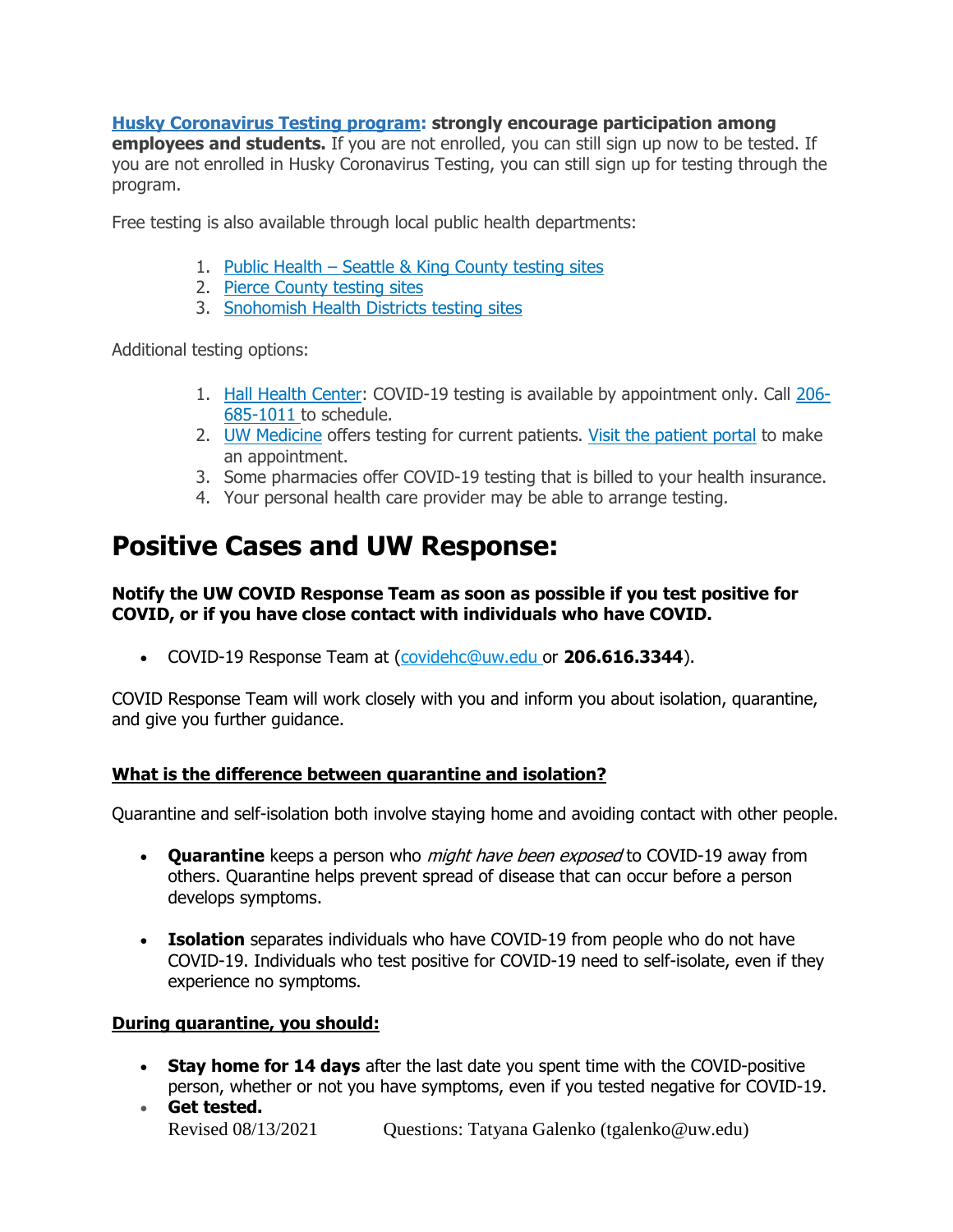### **[Husky Coronavirus Testing program:](https://www.washington.edu/coronavirus/testing/) strongly encourage participation among**

**employees and students.** If you are not enrolled, you can still sign up now to be tested. If you are not enrolled in Husky Coronavirus Testing, you can still sign up for testing through the program.

Free testing is also available through local public health departments:

- 1. Public Health [Seattle & King County testing sites](https://www.kingcounty.gov/depts/health/covid-19/testing.aspx)
- 2. [Pierce County testing sites](https://www.piercecountywa.gov/6758/Covid-19-Mobile-Testing)
- 3. [Snohomish Health Districts testing sites](https://www.snohd.org/503/Drive-Thru-Testing-Available-by-Appointm)

Additional testing options:

- 1. [Hall Health Center:](https://wellbeing.uw.edu/medical/primary-care/) COVID-19 testing is available by appointment only. Call [206-](tel:206-685-1011) [685-1011](tel:206-685-1011) to schedule.
- 2. [UW Medicine](https://www.uwmedicine.org/coronavirus) offers testing for current patients. [Visit the patient portal](https://www.uwmedicine.org/coronavirus) to make an appointment.
- 3. Some pharmacies offer COVID-19 testing that is billed to your health insurance.
- 4. Your personal health care provider may be able to arrange testing.

### **Positive Cases and UW Response:**

#### **Notify the UW COVID Response Team as soon as possible if you test positive for COVID, or if you have close contact with individuals who have COVID.**

COVID-19 Response Team at [\(covidehc@uw.edu](mailto:covidehc@uw.edu) or **206.616.3344**).

COVID Response Team will work closely with you and inform you about isolation, quarantine, and give you further guidance.

### **What is the difference between quarantine and isolation?**

Quarantine and self-isolation both involve staying home and avoiding contact with other people.

- **Quarantine** keeps a person who might have been exposed to COVID-19 away from others. Quarantine helps prevent spread of disease that can occur before a person develops symptoms.
- **Isolation** separates individuals who have COVID-19 from people who do not have COVID-19. Individuals who test positive for COVID-19 need to self-isolate, even if they experience no symptoms.

### **During quarantine, you should:**

- **Stay home for 14 days** after the last date you spent time with the COVID-positive person, whether or not you have symptoms, even if you tested negative for COVID-19.
- Revised 08/13/2021 Questions: Tatyana Galenko (tgalenko@uw.edu) **Get tested.**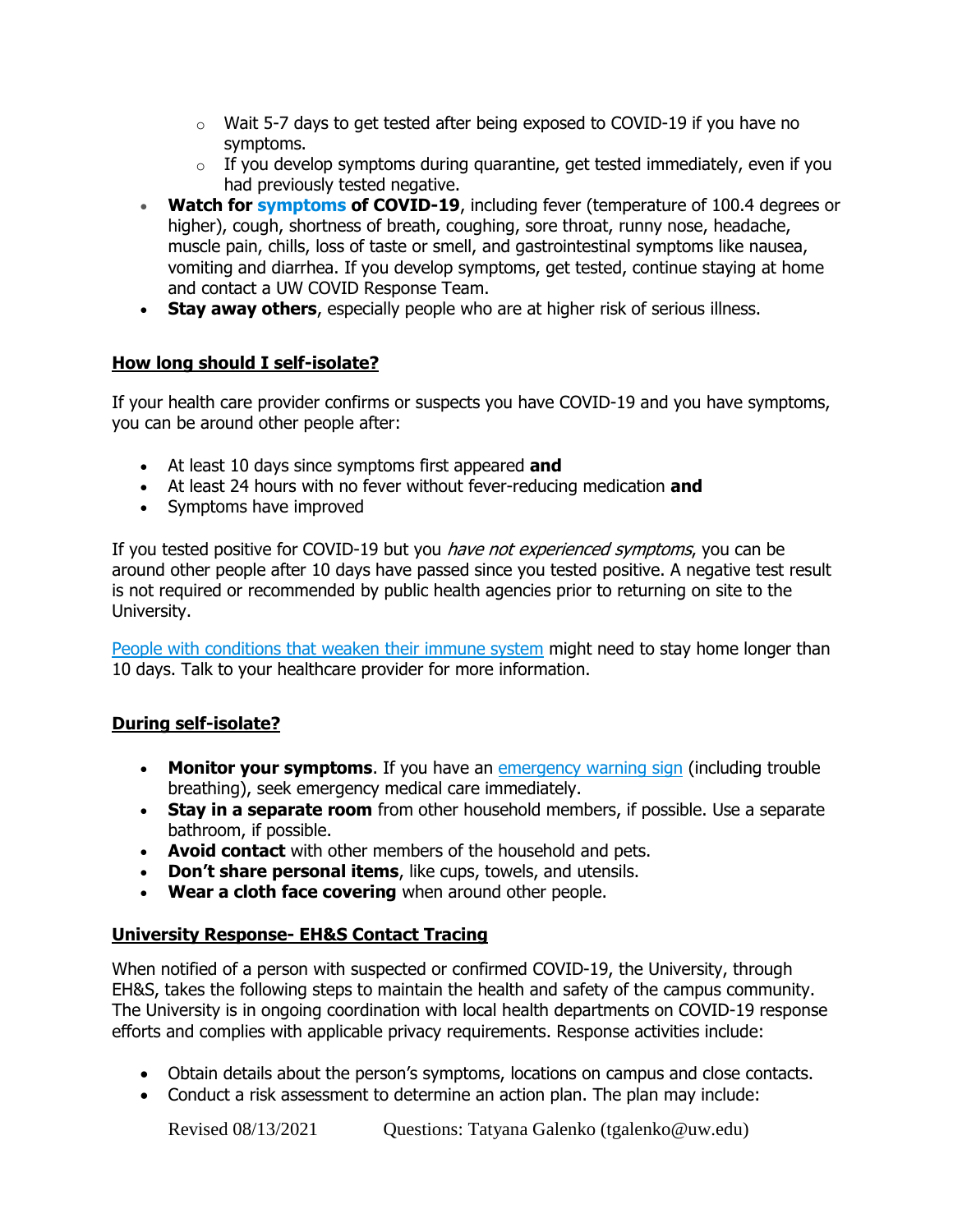- $\circ$  Wait 5-7 days to get tested after being exposed to COVID-19 if you have no symptoms.
- $\circ$  If you develop symptoms during quarantine, get tested immediately, even if you had previously tested negative.
- **Watch for [symptoms](https://www.cdc.gov/coronavirus/2019-ncov/symptoms-testing/symptoms.html) of COVID-19**, including fever (temperature of 100.4 degrees or higher), cough, shortness of breath, coughing, sore throat, runny nose, headache, muscle pain, chills, loss of taste or smell, and gastrointestinal symptoms like nausea, vomiting and diarrhea. If you develop symptoms, get tested, continue staying at home and contact a UW COVID Response Team.
- **Stay away others**, especially people who are at higher risk of serious illness.

### **How long should I self-isolate?**

If your health care provider confirms or suspects you have COVID-19 and you have symptoms, you can be around other people after:

- At least 10 days since symptoms first appeared **and**
- At least 24 hours with no fever without fever-reducing medication **and**
- Symptoms have improved

If you tested positive for COVID-19 but you *have not experienced symptoms*, you can be around other people after 10 days have passed since you tested positive. A negative test result is not required or recommended by public health agencies prior to returning on site to the University.

[People with conditions that weaken their immune system](https://www.cdc.gov/coronavirus/2019-ncov/need-extra-precautions/groups-at-higher-risk.html#immunocompromised) might need to stay home longer than 10 days. Talk to your healthcare provider for more information.

#### **During self-isolate?**

- **Monitor your symptoms**. If you have an [emergency warning sign](https://www.cdc.gov/coronavirus/2019-ncov/symptoms-testing/symptoms.html#seek-medical-attention) (including trouble breathing), seek emergency medical care immediately.
- **Stay in a separate room** from other household members, if possible. Use a separate bathroom, if possible.
- **Avoid contact** with other members of the household and pets.
- **Don't share personal items**, like cups, towels, and utensils.
- **Wear a cloth face covering** when around other people.

### **University Response- EH&S Contact Tracing**

When notified of a person with suspected or confirmed COVID-19, the University, through EH&S, takes the following steps to maintain the health and safety of the campus community. The University is in ongoing coordination with local health departments on COVID-19 response efforts and complies with applicable privacy requirements. Response activities include:

- Obtain details about the person's symptoms, locations on campus and close contacts.
- Conduct a risk assessment to determine an action plan. The plan may include: